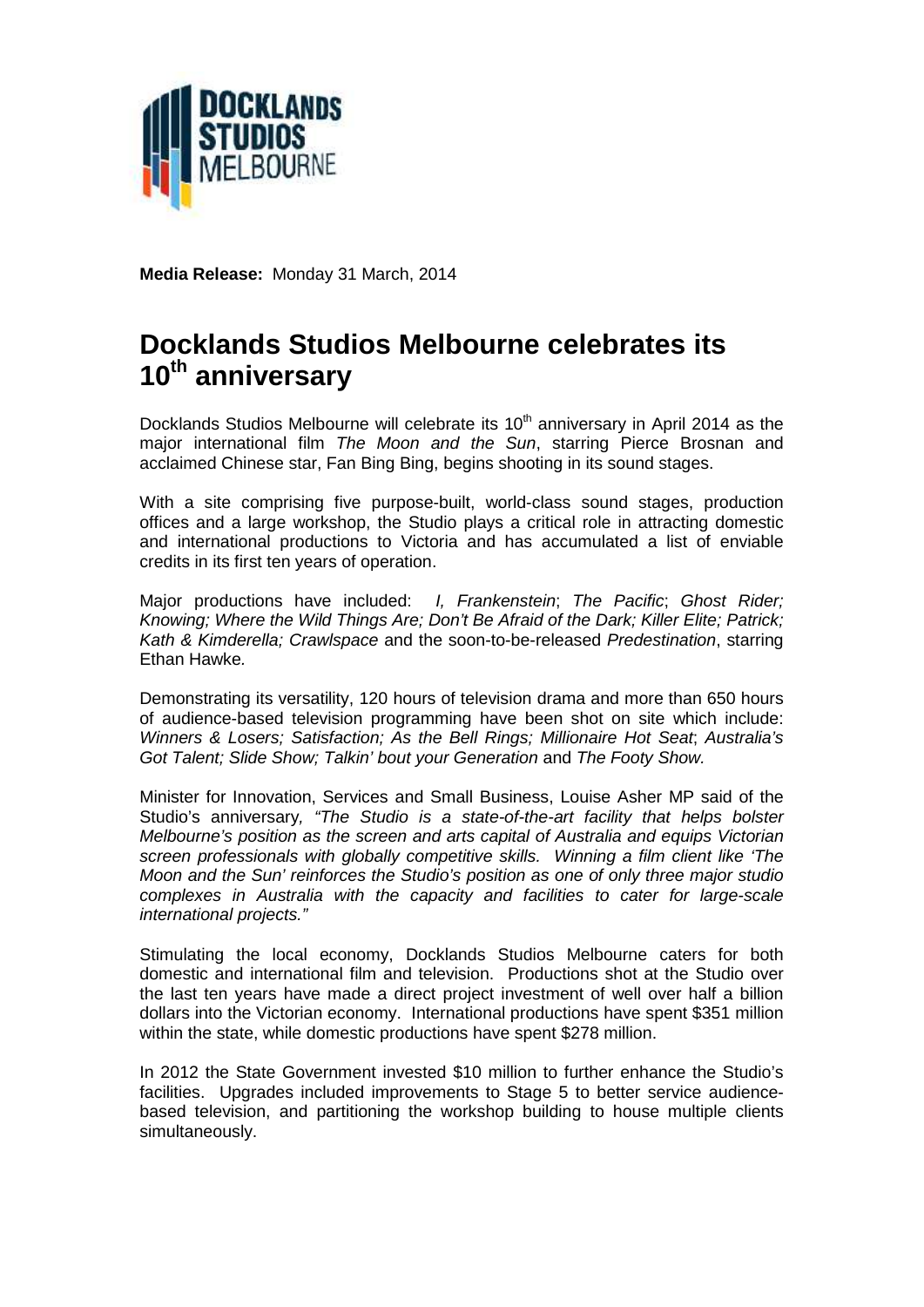

**Media Release:** Monday 31 March, 2014

## **Docklands Studios Melbourne celebrates its 10th anniversary**

Docklands Studios Melbourne will celebrate its  $10<sup>th</sup>$  anniversary in April 2014 as the major international film *The Moon and the Sun*, starring Pierce Brosnan and acclaimed Chinese star, Fan Bing Bing, begins shooting in its sound stages.

With a site comprising five purpose-built, world-class sound stages, production offices and a large workshop, the Studio plays a critical role in attracting domestic and international productions to Victoria and has accumulated a list of enviable credits in its first ten years of operation.

Major productions have included: *I, Frankenstein*; *The Pacific*; *Ghost Rider; Knowing; Where the Wild Things Are; Don't Be Afraid of the Dark; Killer Elite; Patrick; Kath & Kimderella; Crawlspace* and the soon-to-be-released *Predestination*, starring Ethan Hawke*.*

Demonstrating its versatility, 120 hours of television drama and more than 650 hours of audience-based television programming have been shot on site which include: *Winners & Losers; Satisfaction; As the Bell Rings; Millionaire Hot Seat*; *Australia's Got Talent; Slide Show; Talkin' bout your Generation* and *The Footy Show.*

Minister for Innovation, Services and Small Business, Louise Asher MP said of the Studio's anniversary*, "The Studio is a state-of-the-art facility that helps bolster Melbourne's position as the screen and arts capital of Australia and equips Victorian screen professionals with globally competitive skills. Winning a film client like 'The Moon and the Sun' reinforces the Studio's position as one of only three major studio complexes in Australia with the capacity and facilities to cater for large-scale international projects."*

Stimulating the local economy, Docklands Studios Melbourne caters for both domestic and international film and television. Productions shot at the Studio over the last ten years have made a direct project investment of well over half a billion dollars into the Victorian economy. International productions have spent \$351 million within the state, while domestic productions have spent \$278 million.

In 2012 the State Government invested \$10 million to further enhance the Studio's facilities. Upgrades included improvements to Stage 5 to better service audience based television, and partitioning the workshop building to house multiple clients simultaneously.